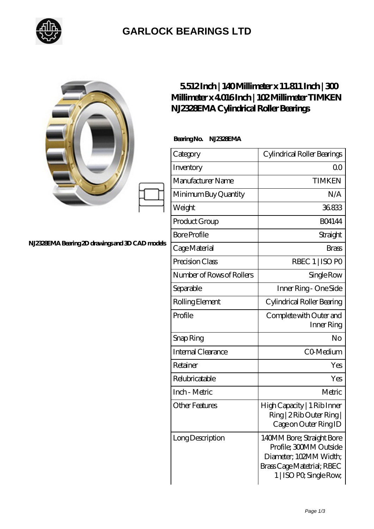

## **[GARLOCK BEARINGS LTD](https://m.letterstopriests.com)**

|                                                  | Millimeter x 4016Inch   102Millimeter TIMKEN<br>NJ2328EMA Cylindrical Roller Bearings | $5512$ Inch   140Millimeter x 11.811 Inch   300                                                                                        |
|--------------------------------------------------|---------------------------------------------------------------------------------------|----------------------------------------------------------------------------------------------------------------------------------------|
|                                                  | Bearing No.<br>NJ232EMA                                                               |                                                                                                                                        |
|                                                  | Category                                                                              | Cylindrical Roller Bearings                                                                                                            |
|                                                  | Inventory                                                                             | 0 <sup>0</sup>                                                                                                                         |
|                                                  | Manufacturer Name                                                                     | <b>TIMKEN</b>                                                                                                                          |
|                                                  | Minimum Buy Quantity                                                                  | N/A                                                                                                                                    |
|                                                  | Weight                                                                                | 36833                                                                                                                                  |
| N.I2328EMA Bearing 2D drawings and 3D CAD models | Product Group                                                                         | <b>BO4144</b>                                                                                                                          |
|                                                  | <b>Bore Profile</b>                                                                   | Straight                                                                                                                               |
|                                                  | Cage Material                                                                         | <b>Brass</b>                                                                                                                           |
|                                                  | Precision Class                                                                       | RBEC 1   ISO PO                                                                                                                        |
|                                                  | Number of Rows of Rollers                                                             | Single Row                                                                                                                             |
|                                                  | Separable                                                                             | Inner Ring - One Side                                                                                                                  |
|                                                  | Rolling Element                                                                       | Cylindrical Roller Bearing                                                                                                             |
|                                                  | Profile                                                                               | Complete with Outer and<br>Inner Ring                                                                                                  |
|                                                  | Snap Ring                                                                             | No                                                                                                                                     |
|                                                  | <b>Internal Clearance</b>                                                             | CO-Medium                                                                                                                              |
|                                                  | Retainer                                                                              | Yes                                                                                                                                    |
|                                                  | Relubricatable                                                                        | Yes                                                                                                                                    |
|                                                  | Inch - Metric                                                                         | Metric                                                                                                                                 |
|                                                  | <b>Other Features</b>                                                                 | High Capacity   1 Rib Inner<br>Ring   2 Rib Outer Ring  <br>Cage on Outer Ring ID                                                      |
|                                                  | Long Description                                                                      | 140MM Bore; Straight Bore<br>Profile; 300MM Outside<br>Diameter; 102MM Width;<br>Brass Cage Matetrial; RBEC<br>1   ISO PO, Single Row, |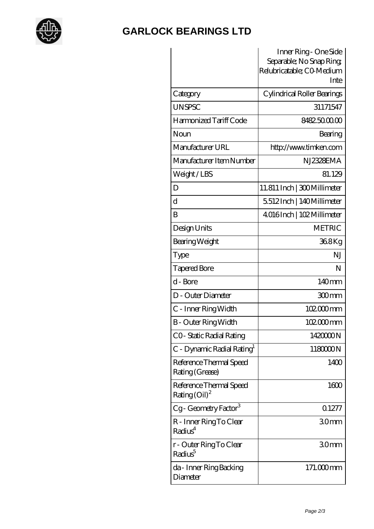

## **[GARLOCK BEARINGS LTD](https://m.letterstopriests.com)**

|                                                               | Inner Ring - One Side<br>Separable; No Snap Ring;<br>Relubricatable; CO-Medium<br>Inte |  |
|---------------------------------------------------------------|----------------------------------------------------------------------------------------|--|
| Category                                                      | Cylindrical Roller Bearings                                                            |  |
| <b>UNSPSC</b>                                                 | 31171547                                                                               |  |
| Harmonized Tariff Code                                        | 8482500000                                                                             |  |
| Noun                                                          | Bearing                                                                                |  |
| Manufacturer URL                                              | http://www.timken.com                                                                  |  |
| Manufacturer Item Number                                      | NJ2328EMA                                                                              |  |
| Weight/LBS                                                    | 81.129                                                                                 |  |
| D                                                             | 11.811 Inch   300 Millimeter                                                           |  |
| d                                                             | 5512Inch   140Millimeter                                                               |  |
| B                                                             | 4016Inch   102 Millimeter                                                              |  |
| Design Units                                                  | <b>METRIC</b>                                                                          |  |
| Bearing Weight                                                | 368Kg                                                                                  |  |
| Type                                                          | NJ                                                                                     |  |
| <b>Tapered Bore</b>                                           | N                                                                                      |  |
| d - Bore                                                      | 140 <sub>mm</sub>                                                                      |  |
| D - Outer Diameter                                            | 300mm                                                                                  |  |
| C - Inner Ring Width                                          | 102000mm                                                                               |  |
| B - Outer Ring Width                                          | 102000mm                                                                               |  |
| CO-Static Radial Rating                                       | 142000N                                                                                |  |
| C - Dynamic Radial Rating <sup>1</sup>                        | 118000N                                                                                |  |
| Reference Thermal Speed<br>Rating (Grease)                    | 1400                                                                                   |  |
| Reference Thermal Speed<br>Rating $\left(\text{Oil}\right)^2$ | 1600                                                                                   |  |
| Cg-Geometry Factor <sup>3</sup>                               | 0.1277                                                                                 |  |
| R - Inner Ring To Clear<br>Radius <sup>4</sup>                | 30mm                                                                                   |  |
| r - Outer Ring To Clear<br>Radius <sup>5</sup>                | 30mm                                                                                   |  |
| da - Inner Ring Backing<br>Diameter                           | 171.000mm                                                                              |  |